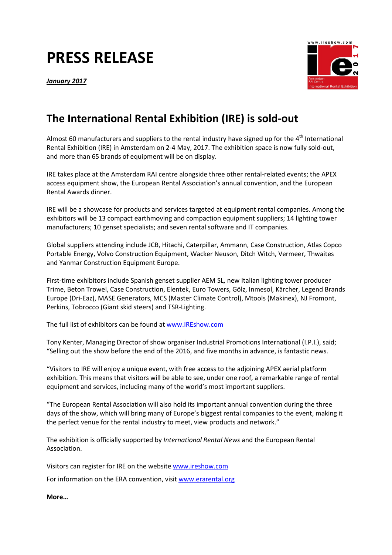## **PRESS RELEASE**

*January 2017*



## **The International Rental Exhibition (IRE) is sold-out**

Almost 60 manufacturers and suppliers to the rental industry have signed up for the 4<sup>th</sup> International Rental Exhibition (IRE) in Amsterdam on 2-4 May, 2017. The exhibition space is now fully sold-out, and more than 65 brands of equipment will be on display.

IRE takes place at the Amsterdam RAI centre alongside three other rental-related events; the APEX access equipment show, the European Rental Association's annual convention, and the European Rental Awards dinner.

IRE will be a showcase for products and services targeted at equipment rental companies. Among the exhibitors will be 13 compact earthmoving and compaction equipment suppliers; 14 lighting tower manufacturers; 10 genset specialists; and seven rental software and IT companies.

Global suppliers attending include JCB, Hitachi, Caterpillar, Ammann, Case Construction, Atlas Copco Portable Energy, Volvo Construction Equipment, Wacker Neuson, Ditch Witch, Vermeer, Thwaites and Yanmar Construction Equipment Europe.

First-time exhibitors include Spanish genset supplier AEM SL, new Italian lighting tower producer Trime, Beton Trowel, Case Construction, Elentek, Euro Towers, Gölz, Inmesol, Kärcher, Legend Brands Europe (Dri-Eaz), MASE Generators, MCS (Master Climate Control), Mtools (Makinex), NJ Fromont, Perkins, Tobrocco (Giant skid steers) and TSR-Lighting.

The full list of exhibitors can be found at [www.IREshow.com](http://www.ireshow.com/)

Tony Kenter, Managing Director of show organiser Industrial Promotions International (I.P.I.), said; "Selling out the show before the end of the 2016, and five months in advance, is fantastic news.

"Visitors to IRE will enjoy a unique event, with free access to the adjoining APEX aerial platform exhibition. This means that visitors will be able to see, under one roof, a remarkable range of rental equipment and services, including many of the world's most important suppliers.

"The European Rental Association will also hold its important annual convention during the three days of the show, which will bring many of Europe's biggest rental companies to the event, making it the perfect venue for the rental industry to meet, view products and network."

The exhibition is officially supported by *International Rental News* and the European Rental Association.

Visitors can register for IRE on the websit[e www.ireshow.com](http://www.ireshow.com/)

For information on the ERA convention, visit [www.erarental.org](http://www.erarental.org/)

**More…**